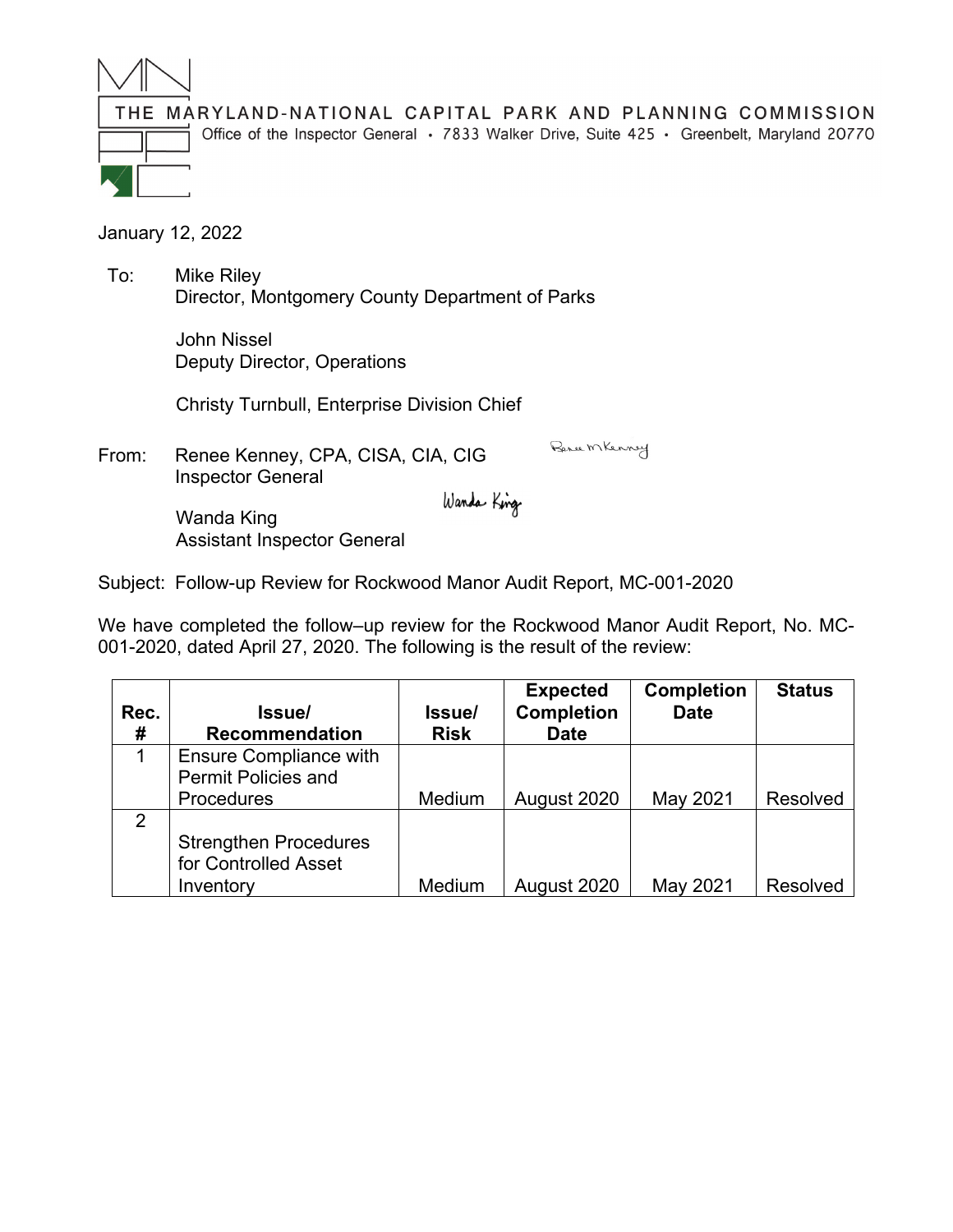

THE MARYLAND-NATIONAL CAPITAL PARK AND PLANNING COMMISSION

Office of the Inspector General · 7833 Walker Drive, Suite 425 · Greenbelt, Maryland 20770

January 12, 2022

 To: Mike Riley Director, Montgomery County Department of Parks

> John Nissel Deputy Director, Operations

Christy Turnbull, Enterprise Division Chief

From: Renee Kenney, CPA, CISA, CIA, CIG Inspector General Wanda King

Bence MKenney

 Wanda King Assistant Inspector General

Subject: Follow-up Review for Rockwood Manor Audit Report, MC-001-2020

We have completed the follow–up review for the Rockwood Manor Audit Report, No. MC-001-2020, dated April 27, 2020. The following is the result of the review:

|      |                               |             | <b>Expected</b>   | <b>Completion</b> | <b>Status</b>   |
|------|-------------------------------|-------------|-------------------|-------------------|-----------------|
| Rec. | lssue/                        | Issue/      | <b>Completion</b> | <b>Date</b>       |                 |
| #    | <b>Recommendation</b>         | <b>Risk</b> | <b>Date</b>       |                   |                 |
|      | <b>Ensure Compliance with</b> |             |                   |                   |                 |
|      | <b>Permit Policies and</b>    |             |                   |                   |                 |
|      | Procedures                    | Medium      | August 2020       | May 2021          | <b>Resolved</b> |
| 2    |                               |             |                   |                   |                 |
|      | <b>Strengthen Procedures</b>  |             |                   |                   |                 |
|      | for Controlled Asset          |             |                   |                   |                 |
|      | Inventory                     | Medium      | August 2020       | May 2021          | <b>Resolved</b> |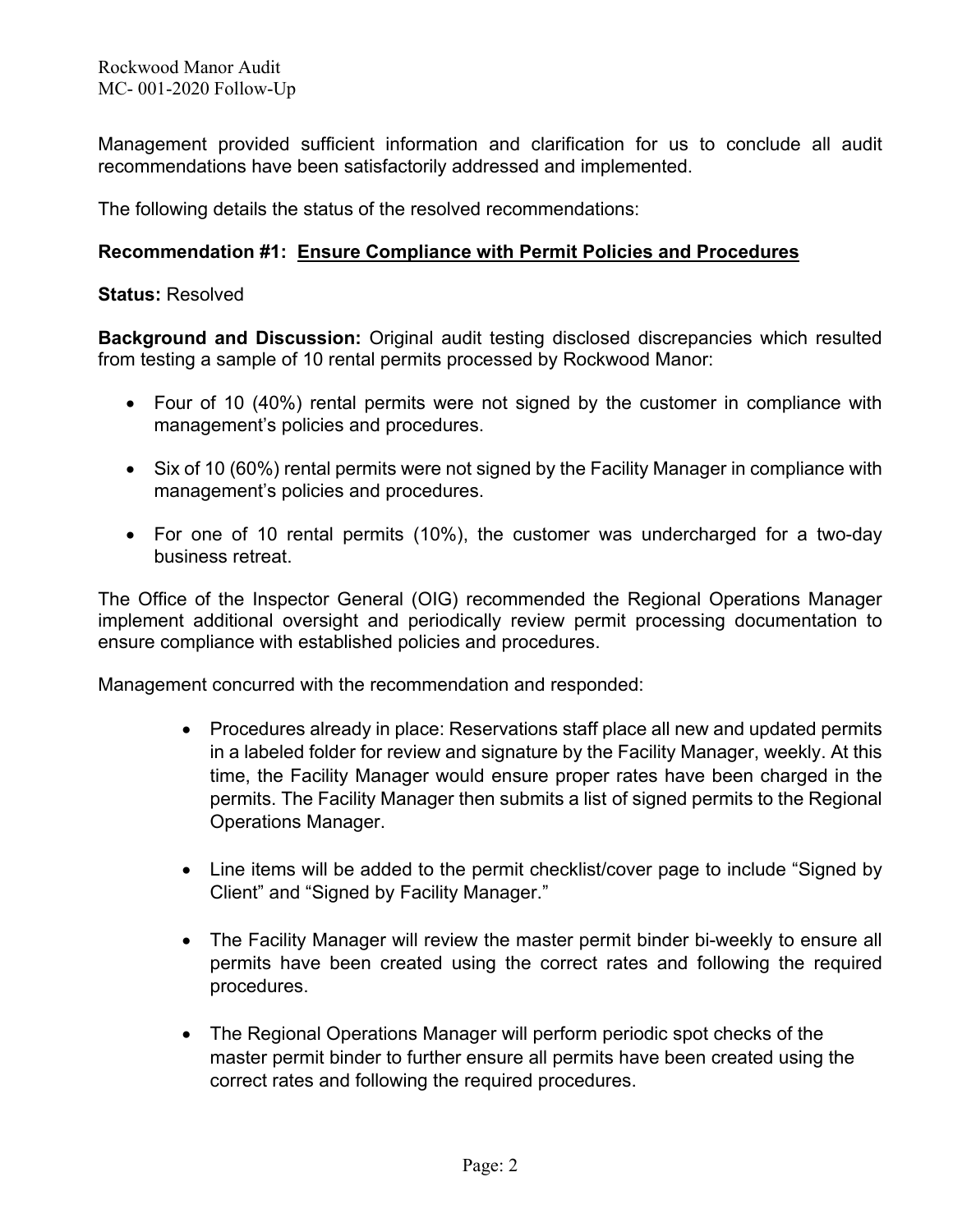Management provided sufficient information and clarification for us to conclude all audit recommendations have been satisfactorily addressed and implemented.

The following details the status of the resolved recommendations:

## **Recommendation #1: Ensure Compliance with Permit Policies and Procedures**

## **Status:** Resolved

**Background and Discussion:** Original audit testing disclosed discrepancies which resulted from testing a sample of 10 rental permits processed by Rockwood Manor:

- Four of 10 (40%) rental permits were not signed by the customer in compliance with management's policies and procedures.
- Six of 10 (60%) rental permits were not signed by the Facility Manager in compliance with management's policies and procedures.
- For one of 10 rental permits (10%), the customer was undercharged for a two-day business retreat.

The Office of the Inspector General (OIG) recommended the Regional Operations Manager implement additional oversight and periodically review permit processing documentation to ensure compliance with established policies and procedures.

Management concurred with the recommendation and responded:

- Procedures already in place: Reservations staff place all new and updated permits in a labeled folder for review and signature by the Facility Manager, weekly. At this time, the Facility Manager would ensure proper rates have been charged in the permits. The Facility Manager then submits a list of signed permits to the Regional Operations Manager.
- Line items will be added to the permit checklist/cover page to include "Signed by Client" and "Signed by Facility Manager."
- The Facility Manager will review the master permit binder bi-weekly to ensure all permits have been created using the correct rates and following the required procedures.
- The Regional Operations Manager will perform periodic spot checks of the master permit binder to further ensure all permits have been created using the correct rates and following the required procedures.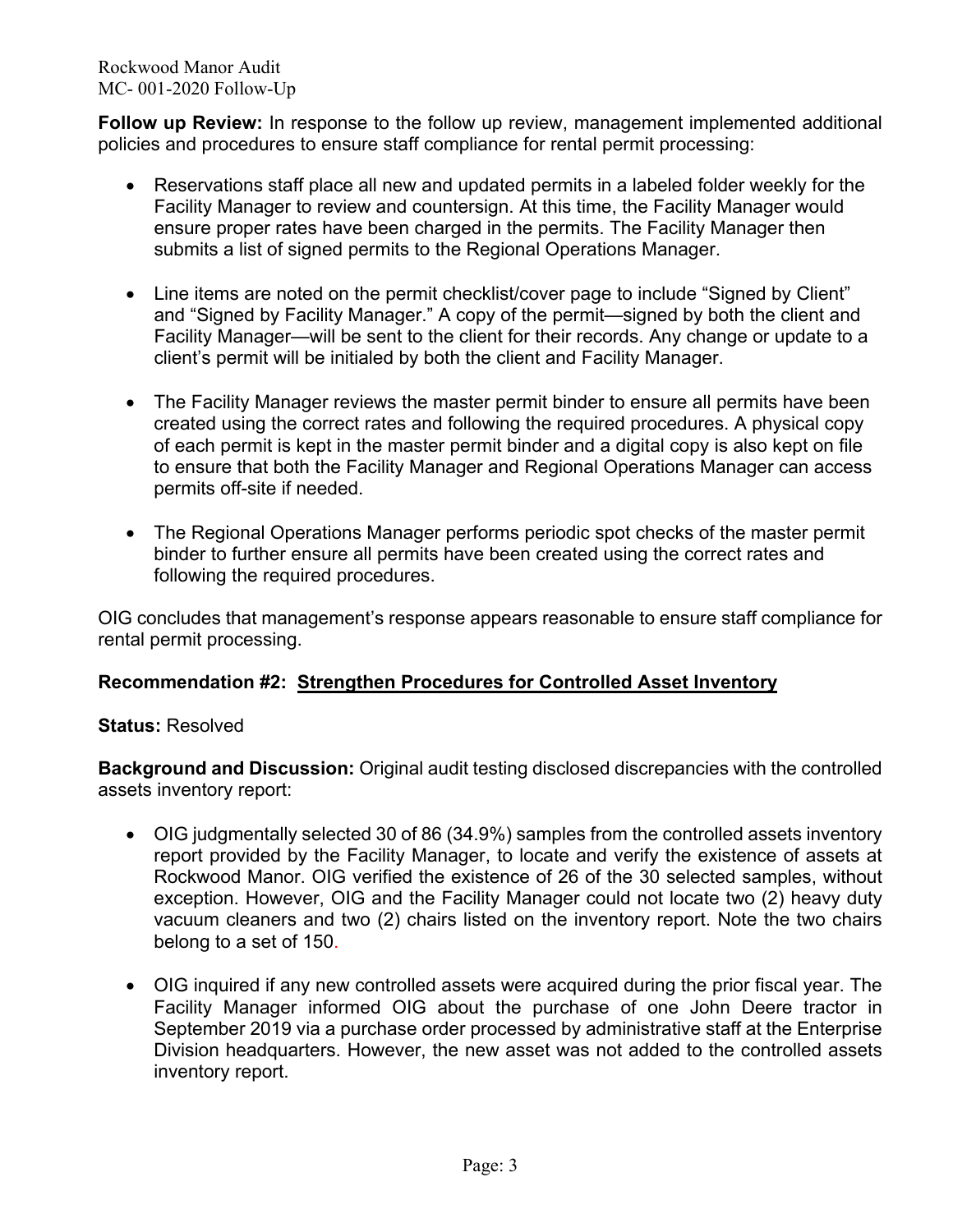Rockwood Manor Audit MC- 001-2020 Follow-Up

**Follow up Review:** In response to the follow up review, management implemented additional policies and procedures to ensure staff compliance for rental permit processing:

- Reservations staff place all new and updated permits in a labeled folder weekly for the Facility Manager to review and countersign. At this time, the Facility Manager would ensure proper rates have been charged in the permits. The Facility Manager then submits a list of signed permits to the Regional Operations Manager.
- Line items are noted on the permit checklist/cover page to include "Signed by Client" and "Signed by Facility Manager." A copy of the permit—signed by both the client and Facility Manager—will be sent to the client for their records. Any change or update to a client's permit will be initialed by both the client and Facility Manager.
- The Facility Manager reviews the master permit binder to ensure all permits have been created using the correct rates and following the required procedures. A physical copy of each permit is kept in the master permit binder and a digital copy is also kept on file to ensure that both the Facility Manager and Regional Operations Manager can access permits off-site if needed.
- The Regional Operations Manager performs periodic spot checks of the master permit binder to further ensure all permits have been created using the correct rates and following the required procedures.

OIG concludes that management's response appears reasonable to ensure staff compliance for rental permit processing.

## **Recommendation #2: Strengthen Procedures for Controlled Asset Inventory**

## **Status:** Resolved

**Background and Discussion:** Original audit testing disclosed discrepancies with the controlled assets inventory report:

- OIG judgmentally selected 30 of 86 (34.9%) samples from the controlled assets inventory report provided by the Facility Manager, to locate and verify the existence of assets at Rockwood Manor. OIG verified the existence of 26 of the 30 selected samples, without exception. However, OIG and the Facility Manager could not locate two (2) heavy duty vacuum cleaners and two (2) chairs listed on the inventory report. Note the two chairs belong to a set of 150.
- OIG inquired if any new controlled assets were acquired during the prior fiscal year. The Facility Manager informed OIG about the purchase of one John Deere tractor in September 2019 via a purchase order processed by administrative staff at the Enterprise Division headquarters. However, the new asset was not added to the controlled assets inventory report.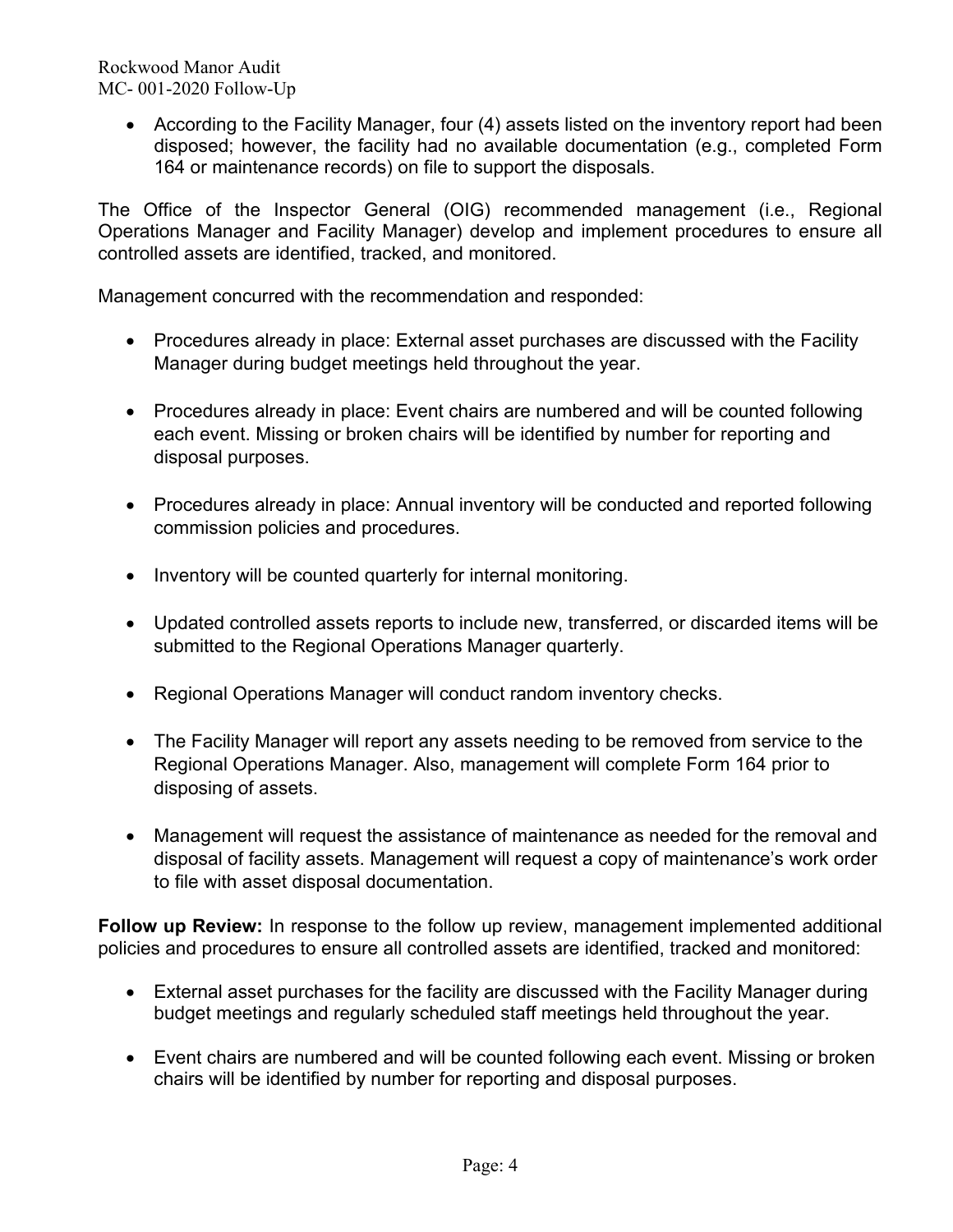Rockwood Manor Audit MC- 001-2020 Follow-Up

> • According to the Facility Manager, four (4) assets listed on the inventory report had been disposed; however, the facility had no available documentation (e.g., completed Form 164 or maintenance records) on file to support the disposals.

The Office of the Inspector General (OIG) recommended management (i.e., Regional Operations Manager and Facility Manager) develop and implement procedures to ensure all controlled assets are identified, tracked, and monitored.

Management concurred with the recommendation and responded:

- Procedures already in place: External asset purchases are discussed with the Facility Manager during budget meetings held throughout the year.
- Procedures already in place: Event chairs are numbered and will be counted following each event. Missing or broken chairs will be identified by number for reporting and disposal purposes.
- Procedures already in place: Annual inventory will be conducted and reported following commission policies and procedures.
- Inventory will be counted quarterly for internal monitoring.
- Updated controlled assets reports to include new, transferred, or discarded items will be submitted to the Regional Operations Manager quarterly.
- Regional Operations Manager will conduct random inventory checks.
- The Facility Manager will report any assets needing to be removed from service to the Regional Operations Manager. Also, management will complete Form 164 prior to disposing of assets.
- Management will request the assistance of maintenance as needed for the removal and disposal of facility assets. Management will request a copy of maintenance's work order to file with asset disposal documentation.

**Follow up Review:** In response to the follow up review, management implemented additional policies and procedures to ensure all controlled assets are identified, tracked and monitored:

- External asset purchases for the facility are discussed with the Facility Manager during budget meetings and regularly scheduled staff meetings held throughout the year.
- Event chairs are numbered and will be counted following each event. Missing or broken chairs will be identified by number for reporting and disposal purposes.